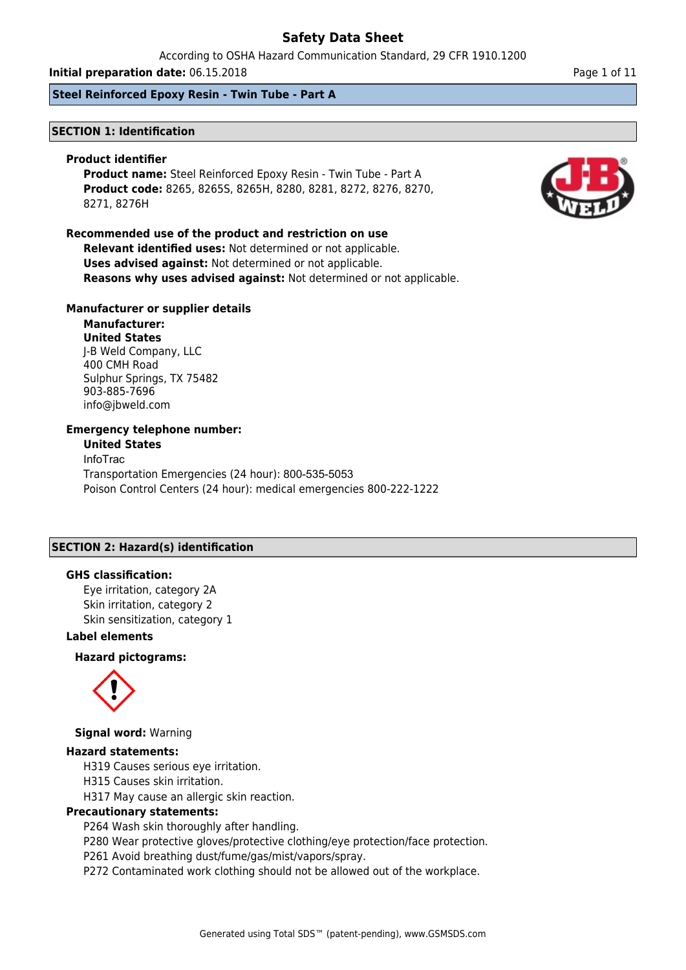According to OSHA Hazard Communication Standard, 29 CFR 1910.1200

**Initial preparation date:** 06.15.2018 **Page 1 of 11 Page 1 of 11 Page 1 of 11** 

**Steel Reinforced Epoxy Resin - Twin Tube - Part A**

### **SECTION 1: Identification**

#### **Product identifier**

**Product name:** Steel Reinforced Epoxy Resin - Twin Tube - Part A **Product code:** 8265, 8265S, 8265H, 8280, 8281, 8272, 8276, 8270, 8271, 8276H

### **Recommended use of the product and restriction on use**

**Relevant identified uses:** Not determined or not applicable. **Uses advised against:** Not determined or not applicable. **Reasons why uses advised against:** Not determined or not applicable.

### **Manufacturer or supplier details**

**Manufacturer: United States** J-B Weld Company, LLC 400 CMH Road Sulphur Springs, TX 75482 903-885-7696 info@jbweld.com

### **Emergency telephone number:**

**United States** InfoTrac Transportation Emergencies (24 hour): 800-535-5053 Poison Control Centers (24 hour): medical emergencies 800-222-1222

### **SECTION 2: Hazard(s) identification**

### **GHS classification:**

Eye irritation, category 2A Skin irritation, category 2 Skin sensitization, category 1

### **Label elements**

### **Hazard pictograms:**



**Signal word:** Warning

#### **Hazard statements:**

H319 Causes serious eye irritation.

H315 Causes skin irritation.

H317 May cause an allergic skin reaction.

### **Precautionary statements:**

P264 Wash skin thoroughly after handling.

P280 Wear protective gloves/protective clothing/eye protection/face protection.

P261 Avoid breathing dust/fume/gas/mist/vapors/spray.

P272 Contaminated work clothing should not be allowed out of the workplace.

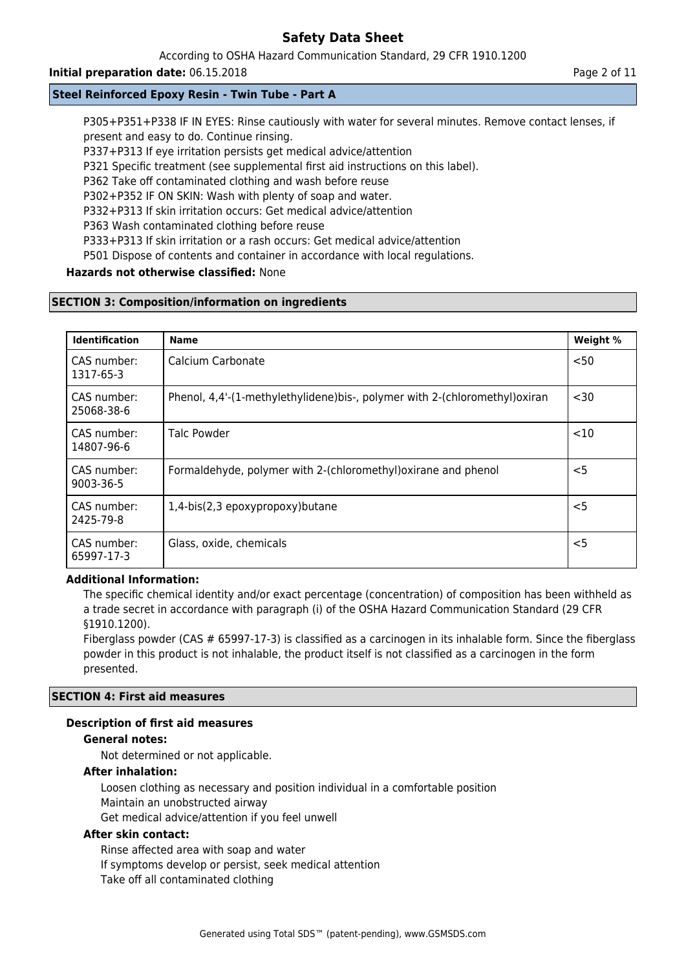### According to OSHA Hazard Communication Standard, 29 CFR 1910.1200

### **Initial preparation date:** 06.15.2018 **Page 2 of 11 Page 2 of 11 Page 2 of 11**

### **Steel Reinforced Epoxy Resin - Twin Tube - Part A**

P305+P351+P338 IF IN EYES: Rinse cautiously with water for several minutes. Remove contact lenses, if present and easy to do. Continue rinsing.

P337+P313 If eye irritation persists get medical advice/attention

P321 Specific treatment (see supplemental first aid instructions on this label).

P362 Take off contaminated clothing and wash before reuse

P302+P352 IF ON SKIN: Wash with plenty of soap and water.

P332+P313 If skin irritation occurs: Get medical advice/attention

P363 Wash contaminated clothing before reuse

P333+P313 If skin irritation or a rash occurs: Get medical advice/attention

P501 Dispose of contents and container in accordance with local regulations.

### **Hazards not otherwise classified:** None

### **SECTION 3: Composition/information on ingredients**

| <b>Identification</b>     | <b>Name</b>                                                                 | Weight % |
|---------------------------|-----------------------------------------------------------------------------|----------|
| CAS number:<br>1317-65-3  | Calcium Carbonate                                                           | < 50     |
| CAS number:<br>25068-38-6 | Phenol, 4,4'-(1-methylethylidene)bis-, polymer with 2-(chloromethyl) oxiran | $30$     |
| CAS number:<br>14807-96-6 | Talc Powder                                                                 | <10      |
| CAS number:<br>9003-36-5  | Formaldehyde, polymer with 2-(chloromethyl) oxirane and phenol              | $<$ 5    |
| CAS number:<br>2425-79-8  | 1,4-bis(2,3 epoxypropoxy)butane                                             | $<$ 5    |
| CAS number:<br>65997-17-3 | Glass, oxide, chemicals                                                     | $<$ 5    |

### **Additional Information:**

The specific chemical identity and/or exact percentage (concentration) of composition has been withheld as a trade secret in accordance with paragraph (i) of the OSHA Hazard Communication Standard (29 CFR §1910.1200).

Fiberglass powder (CAS # 65997-17-3) is classified as a carcinogen in its inhalable form. Since the fiberglass powder in this product is not inhalable, the product itself is not classified as a carcinogen in the form presented.

#### **SECTION 4: First aid measures**

### **Description of first aid measures**

#### **General notes:**

Not determined or not applicable.

#### **After inhalation:**

Loosen clothing as necessary and position individual in a comfortable position Maintain an unobstructed airway Get medical advice/attention if you feel unwell

### **After skin contact:**

Rinse affected area with soap and water If symptoms develop or persist, seek medical attention Take off all contaminated clothing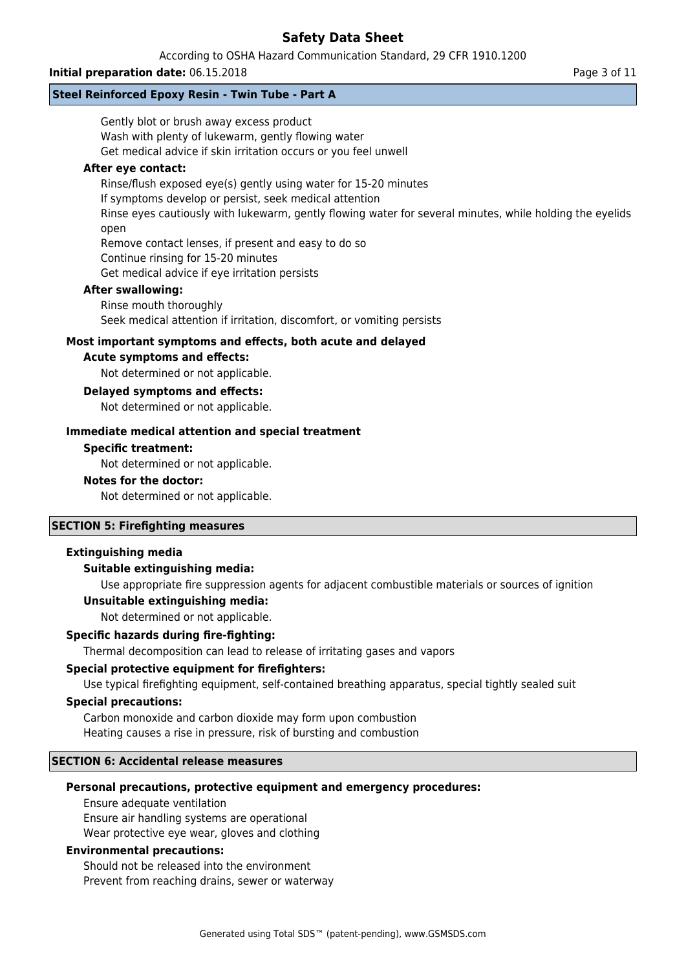### According to OSHA Hazard Communication Standard, 29 CFR 1910.1200

### **Initial preparation date:** 06.15.2018 **Page 3 of 11 Page 3 of 11**

### **Steel Reinforced Epoxy Resin - Twin Tube - Part A**

| Gently blot or brush away excess product                                                                         |  |  |
|------------------------------------------------------------------------------------------------------------------|--|--|
| Wash with plenty of lukewarm, gently flowing water                                                               |  |  |
| Get medical advice if skin irritation occurs or you feel unwell                                                  |  |  |
| After eye contact:                                                                                               |  |  |
| Rinse/flush exposed eye(s) gently using water for 15-20 minutes                                                  |  |  |
| If symptoms develop or persist, seek medical attention                                                           |  |  |
| Rinse eyes cautiously with lukewarm, gently flowing water for several minutes, while holding the eyelids<br>open |  |  |
| Remove contact lenses, if present and easy to do so                                                              |  |  |
| Continue rinsing for 15-20 minutes                                                                               |  |  |
| Get medical advice if eye irritation persists                                                                    |  |  |
| <b>After swallowing:</b>                                                                                         |  |  |
| Rinse mouth thoroughly                                                                                           |  |  |
| Seek medical attention if irritation, discomfort, or vomiting persists                                           |  |  |
| Most important symptoms and effects, both acute and delayed                                                      |  |  |
| <b>Acute symptoms and effects:</b>                                                                               |  |  |
| Not determined or not applicable.                                                                                |  |  |
| <b>Delayed symptoms and effects:</b>                                                                             |  |  |
| Not determined or not applicable.                                                                                |  |  |
| Immediate medical attention and special treatment                                                                |  |  |
| <b>Specific treatment:</b>                                                                                       |  |  |
| Not determined or not applicable.                                                                                |  |  |
| <b>Notes for the doctor:</b>                                                                                     |  |  |
| Not determined or not applicable.                                                                                |  |  |
| <b>SECTION 5: Firefighting measures</b>                                                                          |  |  |
| <b>Extinguishing media</b>                                                                                       |  |  |
| <b>Suitable extinguishing media:</b>                                                                             |  |  |
| Use appropriate fire suppression agents for adjacent combustible materials or sources of ignition                |  |  |
| Unsuitable extinguishing media:                                                                                  |  |  |

Not determined or not applicable.

### **Specific hazards during fire-fighting:**

Thermal decomposition can lead to release of irritating gases and vapors

#### **Special protective equipment for firefighters:**

Use typical firefighting equipment, self-contained breathing apparatus, special tightly sealed suit

### **Special precautions:**

Carbon monoxide and carbon dioxide may form upon combustion Heating causes a rise in pressure, risk of bursting and combustion

### **SECTION 6: Accidental release measures**

#### **Personal precautions, protective equipment and emergency procedures:**

Ensure adequate ventilation Ensure air handling systems are operational Wear protective eye wear, gloves and clothing

#### **Environmental precautions:**

Should not be released into the environment Prevent from reaching drains, sewer or waterway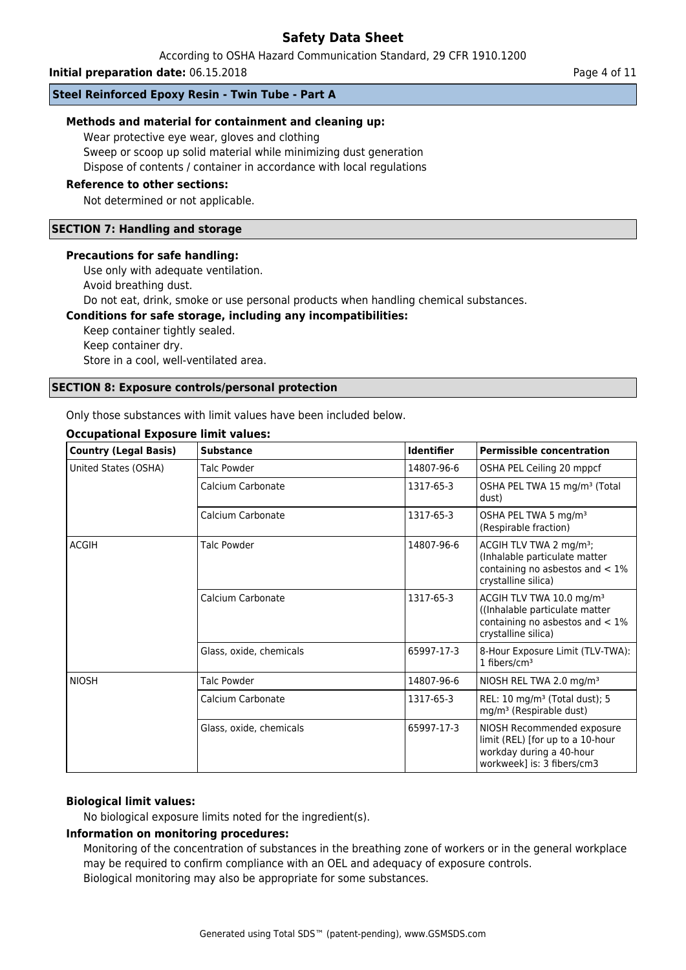According to OSHA Hazard Communication Standard, 29 CFR 1910.1200

**Initial preparation date:** 06.15.2018 **Page 4 of 11 Page 4 of 11 Page 4 of 11** 

### **Steel Reinforced Epoxy Resin - Twin Tube - Part A**

### **Methods and material for containment and cleaning up:**

Wear protective eye wear, gloves and clothing

Sweep or scoop up solid material while minimizing dust generation

Dispose of contents / container in accordance with local regulations

### **Reference to other sections:**

Not determined or not applicable.

### **SECTION 7: Handling and storage**

#### **Precautions for safe handling:**

Use only with adequate ventilation.

Avoid breathing dust.

Do not eat, drink, smoke or use personal products when handling chemical substances.

### **Conditions for safe storage, including any incompatibilities:**

Keep container tightly sealed. Keep container dry. Store in a cool, well-ventilated area.

#### **SECTION 8: Exposure controls/personal protection**

Only those substances with limit values have been included below.

| <b>Country (Legal Basis)</b> | <b>Substance</b>        | <b>Identifier</b> | <b>Permissible concentration</b>                                                                                                    |
|------------------------------|-------------------------|-------------------|-------------------------------------------------------------------------------------------------------------------------------------|
| United States (OSHA)         | Talc Powder             | 14807-96-6        | OSHA PEL Ceiling 20 mppcf                                                                                                           |
|                              | Calcium Carbonate       | 1317-65-3         | OSHA PEL TWA 15 mg/m <sup>3</sup> (Total<br>dust)                                                                                   |
|                              | Calcium Carbonate       | 1317-65-3         | OSHA PEL TWA 5 mg/m <sup>3</sup><br>(Respirable fraction)                                                                           |
| <b>ACGIH</b>                 | Talc Powder             | 14807-96-6        | ACGIH TLV TWA 2 mg/m <sup>3</sup> ;<br>(Inhalable particulate matter<br>containing no asbestos and $< 1\%$<br>crystalline silica)   |
|                              | Calcium Carbonate       | 1317-65-3         | ACGIH TLV TWA 10.0 mg/m <sup>3</sup><br>(Inhalable particulate matter)<br>containing no asbestos and $< 1\%$<br>crystalline silica) |
|                              | Glass, oxide, chemicals | 65997-17-3        | 8-Hour Exposure Limit (TLV-TWA):<br>1 fibers/ $cm3$                                                                                 |
| <b>NIOSH</b>                 | Talc Powder             | 14807-96-6        | NIOSH REL TWA 2.0 mg/m <sup>3</sup>                                                                                                 |
|                              | Calcium Carbonate       | 1317-65-3         | REL: 10 mg/m <sup>3</sup> (Total dust); 5<br>mg/m <sup>3</sup> (Respirable dust)                                                    |
|                              | Glass, oxide, chemicals | 65997-17-3        | NIOSH Recommended exposure<br>limit (REL) [for up to a 10-hour<br>workday during a 40-hour<br>workweek] is: 3 fibers/cm3            |

# **Occupational Exposure limit values:**

#### **Biological limit values:**

No biological exposure limits noted for the ingredient(s).

#### **Information on monitoring procedures:**

Monitoring of the concentration of substances in the breathing zone of workers or in the general workplace may be required to confirm compliance with an OEL and adequacy of exposure controls. Biological monitoring may also be appropriate for some substances.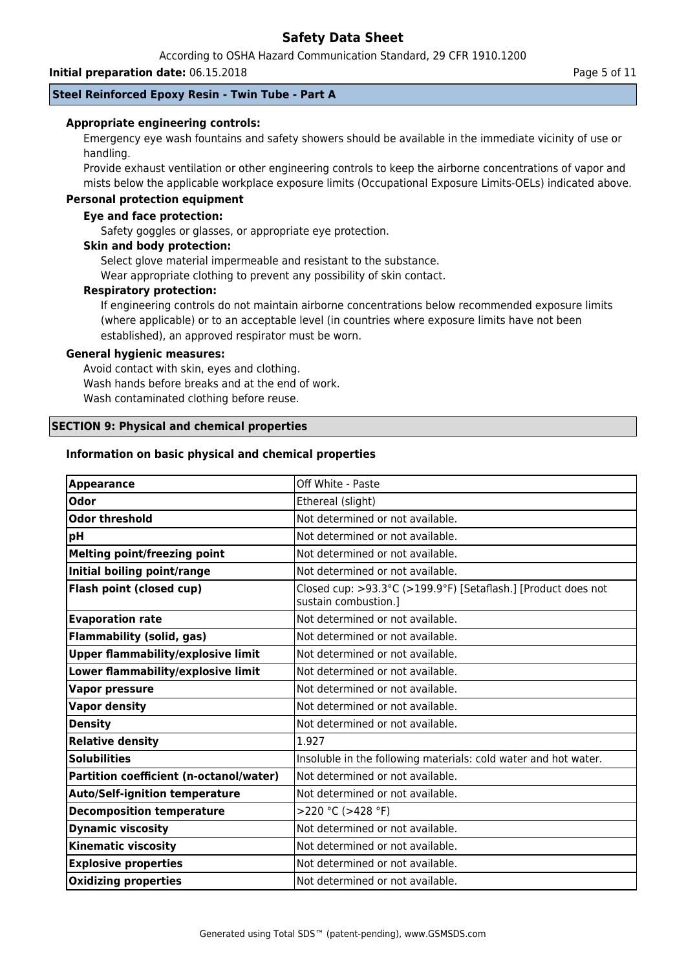According to OSHA Hazard Communication Standard, 29 CFR 1910.1200

#### **Initial preparation date:** 06.15.2018 **Page 1.11** Page 5 of 11

### **Steel Reinforced Epoxy Resin - Twin Tube - Part A**

### **Appropriate engineering controls:**

Emergency eye wash fountains and safety showers should be available in the immediate vicinity of use or handling.

Provide exhaust ventilation or other engineering controls to keep the airborne concentrations of vapor and mists below the applicable workplace exposure limits (Occupational Exposure Limits-OELs) indicated above.

### **Personal protection equipment**

### **Eye and face protection:**

Safety goggles or glasses, or appropriate eye protection.

#### **Skin and body protection:**

Select glove material impermeable and resistant to the substance.

Wear appropriate clothing to prevent any possibility of skin contact.

### **Respiratory protection:**

If engineering controls do not maintain airborne concentrations below recommended exposure limits (where applicable) or to an acceptable level (in countries where exposure limits have not been established), an approved respirator must be worn.

### **General hygienic measures:**

Avoid contact with skin, eyes and clothing. Wash hands before breaks and at the end of work. Wash contaminated clothing before reuse.

### **SECTION 9: Physical and chemical properties**

### **Information on basic physical and chemical properties**

| Off White - Paste                                                                     |
|---------------------------------------------------------------------------------------|
| Ethereal (slight)                                                                     |
| Not determined or not available.                                                      |
| Not determined or not available.                                                      |
| Not determined or not available.                                                      |
| Not determined or not available.                                                      |
| Closed cup: >93.3°C (>199.9°F) [Setaflash.] [Product does not<br>sustain combustion.] |
| Not determined or not available.                                                      |
| Not determined or not available.                                                      |
| Not determined or not available.                                                      |
| Not determined or not available.                                                      |
| Not determined or not available.                                                      |
| Not determined or not available.                                                      |
| Not determined or not available.                                                      |
| 1.927                                                                                 |
| Insoluble in the following materials: cold water and hot water.                       |
| Not determined or not available.                                                      |
| Not determined or not available.                                                      |
| >220 °C (>428 °F)                                                                     |
| Not determined or not available.                                                      |
| Not determined or not available.                                                      |
| Not determined or not available.                                                      |
| Not determined or not available.                                                      |
|                                                                                       |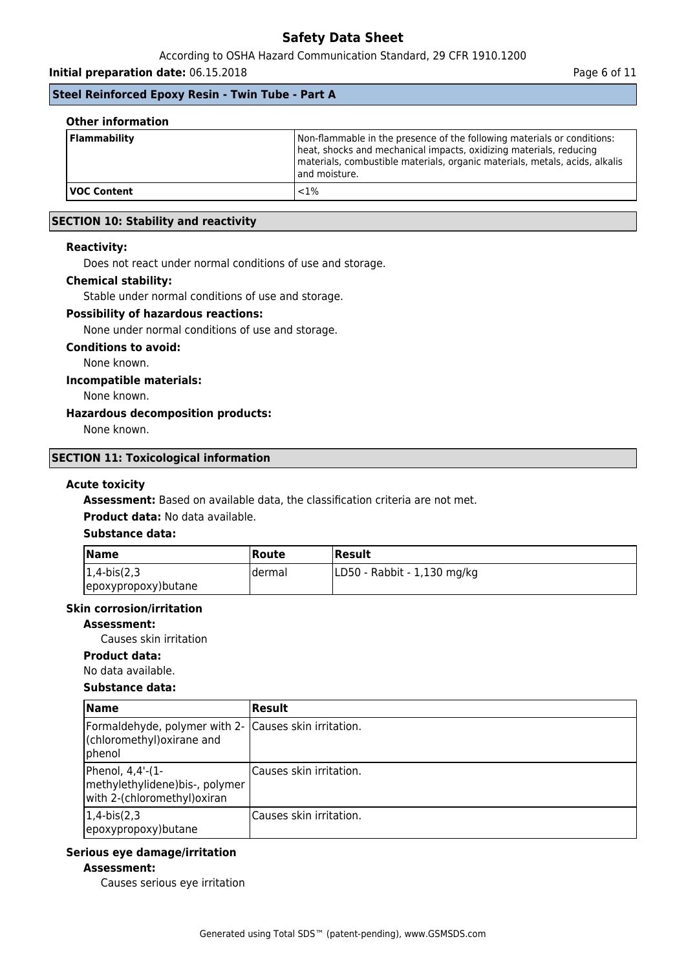### According to OSHA Hazard Communication Standard, 29 CFR 1910.1200

**Initial preparation date:** 06.15.2018 **Page 6 of 11** 

### **Steel Reinforced Epoxy Resin - Twin Tube - Part A**

| <b>Other information</b> |                                                                                                                                                                                                                                               |
|--------------------------|-----------------------------------------------------------------------------------------------------------------------------------------------------------------------------------------------------------------------------------------------|
| Flammability             | Non-flammable in the presence of the following materials or conditions:<br>heat, shocks and mechanical impacts, oxidizing materials, reducing<br>materials, combustible materials, organic materials, metals, acids, alkalis<br>and moisture. |
| <b>VOC Content</b>       | ${<}1\%$                                                                                                                                                                                                                                      |

### **SECTION 10: Stability and reactivity**

### **Reactivity:**

Does not react under normal conditions of use and storage.

#### **Chemical stability:**

Stable under normal conditions of use and storage.

### **Possibility of hazardous reactions:**

None under normal conditions of use and storage.

#### **Conditions to avoid:**

None known.

### **Incompatible materials:**

None known.

#### **Hazardous decomposition products:**

None known.

#### **SECTION 11: Toxicological information**

### **Acute toxicity**

**Assessment:** Based on available data, the classification criteria are not met.

**Product data:** No data available.

### **Substance data:**

| <b>Name</b>         | <b> Route</b> | Result                      |
|---------------------|---------------|-----------------------------|
| $ 1,4-bis(2,3) $    | Idermal       | LD50 - Rabbit - 1,130 mg/kg |
| epoxypropoxy)butane |               |                             |

#### **Skin corrosion/irritation**

#### **Assessment:**

Causes skin irritation

### **Product data:**

No data available.

#### **Substance data:**

| <b>Name</b>                                                                                            | Result                   |
|--------------------------------------------------------------------------------------------------------|--------------------------|
| Formaldehyde, polymer with 2- Causes skin irritation.<br>(chloromethyl) oxirane and<br><i>I</i> phenol |                          |
| Phenol, 4,4'-(1-<br>methylethylidene)bis-, polymer<br>with 2-(chloromethyl)oxiran                      | lCauses skin irritation. |
| $ 1, 4$ -bis $(2, 3)$<br>epoxypropoxy) butane                                                          | lCauses skin irritation. |

### **Serious eye damage/irritation**

#### **Assessment:**

Causes serious eye irritation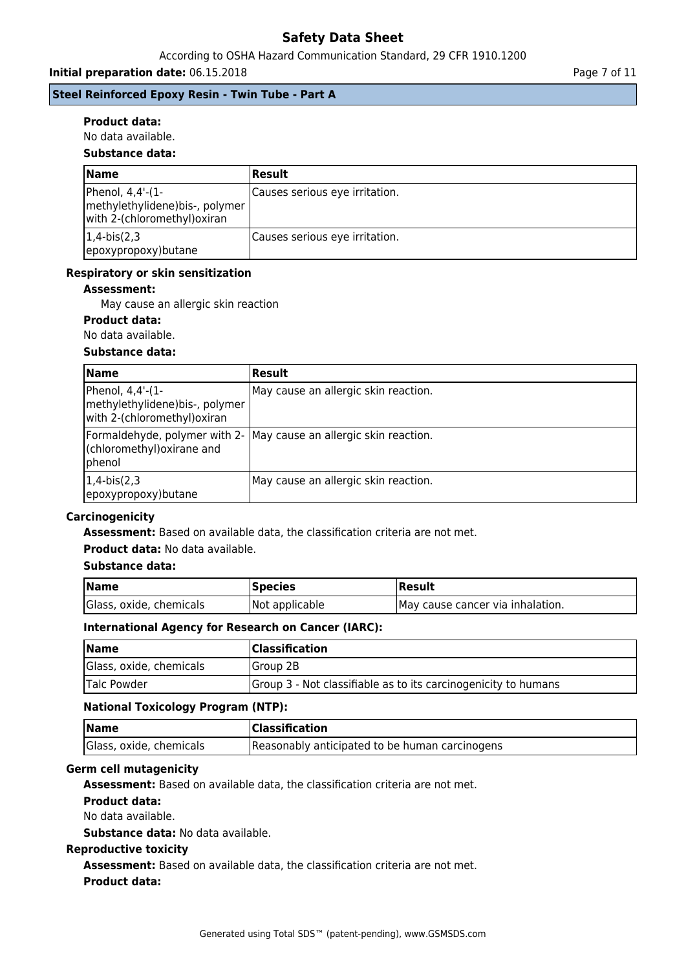### According to OSHA Hazard Communication Standard, 29 CFR 1910.1200

**Initial preparation date:** 06.15.2018 **Page 7 of 11** 

### **Steel Reinforced Epoxy Resin - Twin Tube - Part A**

### **Product data:**

### No data available.

### **Substance data:**

| <b>Name</b>                                                                         | Result                         |
|-------------------------------------------------------------------------------------|--------------------------------|
| Phenol, 4,4'-(1-<br>methylethylidene) bis-, polymer<br>with 2-(chloromethyl) oxiran | Causes serious eye irritation. |
| $ 1,4-bis(2,3) $<br>epoxypropoxy) butane                                            | Causes serious eye irritation. |

### **Respiratory or skin sensitization**

### **Assessment:**

May cause an allergic skin reaction

### **Product data:**

No data available.

### **Substance data:**

| <b>Name</b>                                                                        | <b>Result</b>                                                      |
|------------------------------------------------------------------------------------|--------------------------------------------------------------------|
| Phenol, 4,4'-(1-<br>methylethylidene)bis-, polymer<br>with 2-(chloromethyl) oxiran | May cause an allergic skin reaction.                               |
| (chloromethyl) oxirane and<br> phenol                                              | Formaldehyde, polymer with 2- May cause an allergic skin reaction. |
| $1,4-bis(2,3)$<br>epoxypropoxy) butane                                             | May cause an allergic skin reaction.                               |

#### **Carcinogenicity**

**Assessment:** Based on available data, the classification criteria are not met.

### **Product data:** No data available.

#### **Substance data:**

| Name                    | <b>Species</b> | Result                            |
|-------------------------|----------------|-----------------------------------|
| Glass, oxide, chemicals | Not applicable | IMay cause cancer via inhalation. |

### **International Agency for Research on Cancer (IARC):**

| <b>Name</b>             | <b>Classification</b>                                          |
|-------------------------|----------------------------------------------------------------|
| Glass, oxide, chemicals | <b>IGroup 2B</b>                                               |
| Talc Powder             | Group 3 - Not classifiable as to its carcinogenicity to humans |

#### **National Toxicology Program (NTP):**

| <b>Name</b>             | <b>Classification</b>                          |
|-------------------------|------------------------------------------------|
| Glass, oxide, chemicals | Reasonably anticipated to be human carcinogens |

### **Germ cell mutagenicity**

**Assessment:** Based on available data, the classification criteria are not met.

# **Product data:**

No data available.

**Substance data:** No data available.

### **Reproductive toxicity**

**Assessment:** Based on available data, the classification criteria are not met.

#### **Product data:**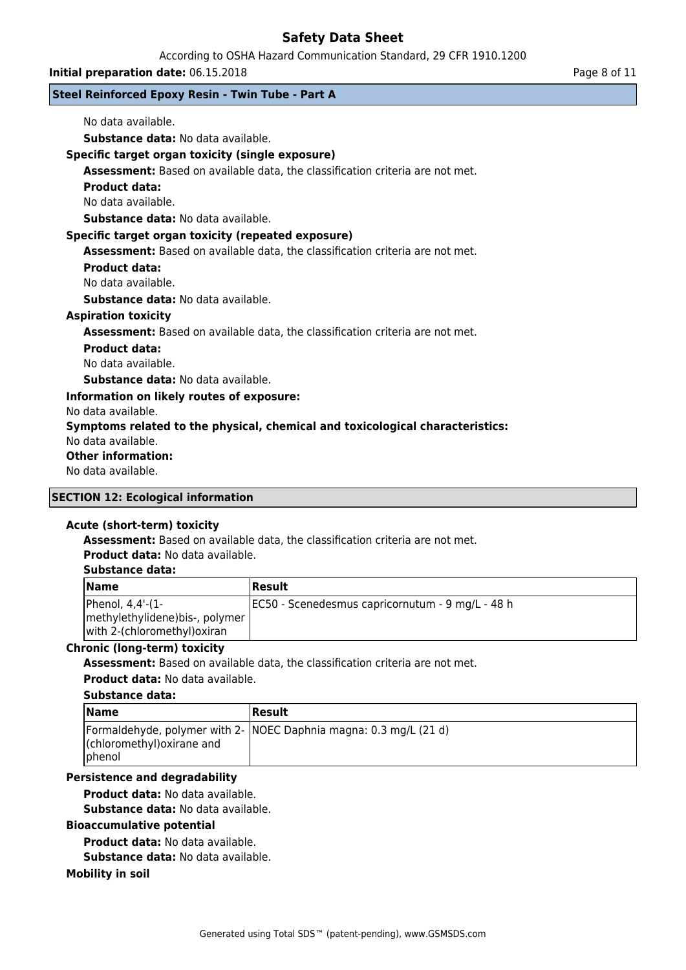According to OSHA Hazard Communication Standard, 29 CFR 1910.1200

**Initial preparation date:** 06.15.2018 **Page 8 of 11** 

### **Steel Reinforced Epoxy Resin - Twin Tube - Part A**

| No data available.                                                                   |
|--------------------------------------------------------------------------------------|
| <b>Substance data:</b> No data available.                                            |
| Specific target organ toxicity (single exposure)                                     |
| Assessment: Based on available data, the classification criteria are not met.        |
| <b>Product data:</b>                                                                 |
| No data available.                                                                   |
| <b>Substance data:</b> No data available.                                            |
| Specific target organ toxicity (repeated exposure)                                   |
| <b>Assessment:</b> Based on available data, the classification criteria are not met. |
| <b>Product data:</b>                                                                 |
| No data available.                                                                   |
| <b>Substance data:</b> No data available.                                            |
| <b>Aspiration toxicity</b>                                                           |
| Assessment: Based on available data, the classification criteria are not met.        |
| <b>Product data:</b>                                                                 |
| No data available.                                                                   |
| <b>Substance data:</b> No data available.                                            |
| Information on likely routes of exposure:                                            |
| No data available.                                                                   |
| Symptoms related to the physical, chemical and toxicological characteristics:        |
| No data available.                                                                   |
| <b>Other information:</b>                                                            |
| No data available.                                                                   |

### **SECTION 12: Ecological information**

### **Acute (short-term) toxicity**

**Assessment:** Based on available data, the classification criteria are not met.

**Product data:** No data available.

### **Substance data:**

| <b>Name</b>                                                                         | Result                                            |
|-------------------------------------------------------------------------------------|---------------------------------------------------|
| Phenol, 4,4'-(1-<br>methylethylidene) bis-, polymer<br>with 2-(chloromethyl) oxiran | JEC50 - Scenedesmus capricornutum - 9 mg/L - 48 h |

### **Chronic (long-term) toxicity**

**Assessment:** Based on available data, the classification criteria are not met.

**Product data:** No data available.

#### **Substance data:**

| <b>Name</b>                                   | Result                                                             |
|-----------------------------------------------|--------------------------------------------------------------------|
| (chloromethyl) oxirane and<br><i>I</i> phenol | [Formaldehyde, polymer with 2- NOEC Daphnia magna: 0.3 mg/L (21 d) |

### **Persistence and degradability**

**Product data:** No data available.

**Substance data:** No data available.

#### **Bioaccumulative potential**

**Product data:** No data available.

**Substance data:** No data available.

#### **Mobility in soil**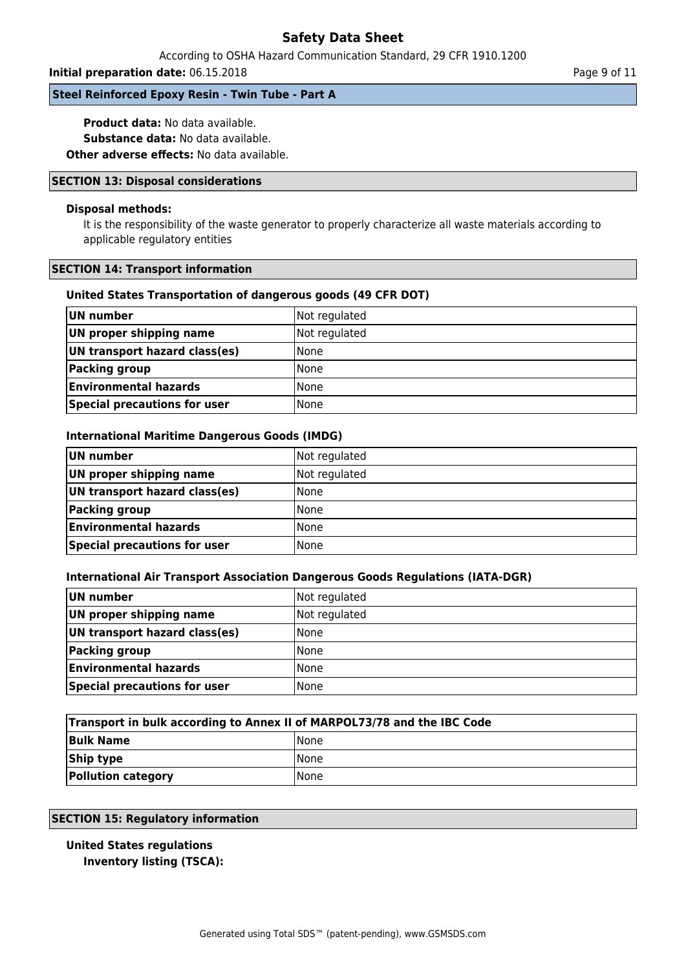### According to OSHA Hazard Communication Standard, 29 CFR 1910.1200

#### **Initial preparation date:** 06.15.2018 **Page 9 of 11**

### **Steel Reinforced Epoxy Resin - Twin Tube - Part A**

**Product data:** No data available. **Substance data:** No data available.

**Other adverse effects:** No data available.

### **SECTION 13: Disposal considerations**

### **Disposal methods:**

It is the responsibility of the waste generator to properly characterize all waste materials according to applicable regulatory entities

### **SECTION 14: Transport information**

### **United States Transportation of dangerous goods (49 CFR DOT)**

| UN number                     | Not regulated |
|-------------------------------|---------------|
| UN proper shipping name       | Not regulated |
| UN transport hazard class(es) | l None        |
| Packing group                 | l None        |
| <b>Environmental hazards</b>  | None          |
| Special precautions for user  | None          |

### **International Maritime Dangerous Goods (IMDG)**

| UN number                     | Not regulated |
|-------------------------------|---------------|
| UN proper shipping name       | Not regulated |
| UN transport hazard class(es) | None          |
| <b>Packing group</b>          | None          |
| <b>Environmental hazards</b>  | None          |
| Special precautions for user  | <b>None</b>   |

### **International Air Transport Association Dangerous Goods Regulations (IATA-DGR)**

| UN number                     | Not regulated |
|-------------------------------|---------------|
| UN proper shipping name       | Not regulated |
| UN transport hazard class(es) | l None        |
| <b>Packing group</b>          | l None        |
| <b>Environmental hazards</b>  | l None        |
| Special precautions for user  | l None        |

| Transport in bulk according to Annex II of MARPOL73/78 and the IBC Code |             |  |
|-------------------------------------------------------------------------|-------------|--|
| <b>Bulk Name</b>                                                        | <b>None</b> |  |
| Ship type                                                               | <b>None</b> |  |
| <b>Pollution category</b>                                               | <b>None</b> |  |

### **SECTION 15: Regulatory information**

### **United States regulations Inventory listing (TSCA):**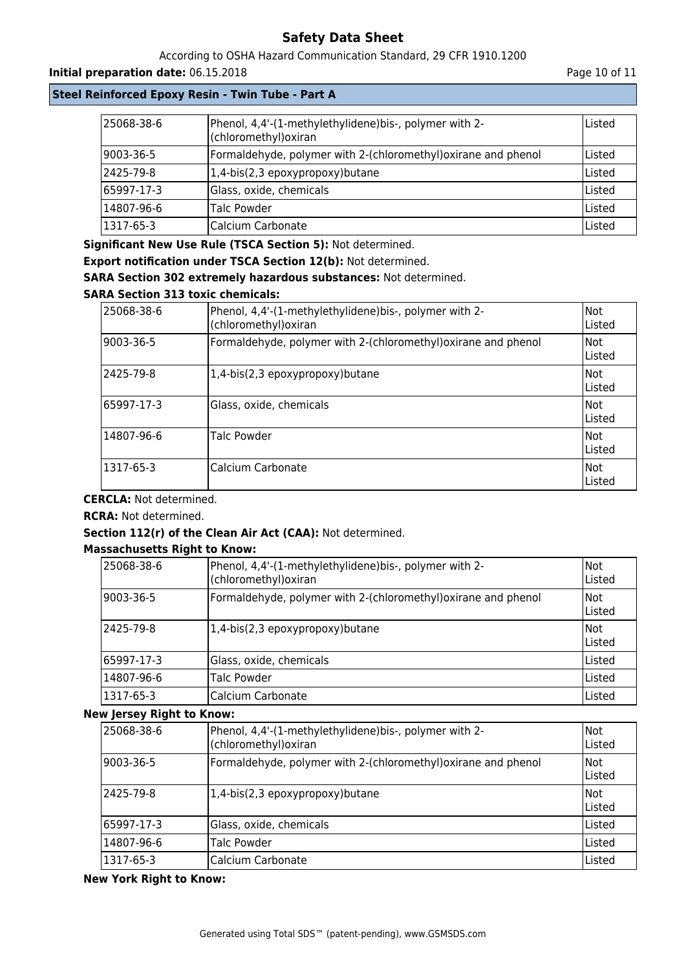### According to OSHA Hazard Communication Standard, 29 CFR 1910.1200

### **Initial preparation date:** 06.15.2018 **Page 10 of 11**

### **Steel Reinforced Epoxy Resin - Twin Tube - Part A**

| 25068-38-6    | Phenol, 4,4'-(1-methylethylidene) bis-, polymer with 2-<br>(chloromethyl) oxiran | lListed |
|---------------|----------------------------------------------------------------------------------|---------|
| 9003-36-5     | Formaldehyde, polymer with 2-(chloromethyl) oxirane and phenol                   | lListed |
| 2425-79-8     | $(1,4-bis(2,3epoxypropoxy)butane)$                                               | Listed  |
| 65997-17-3    | Glass, oxide, chemicals                                                          | lListed |
| 14807-96-6    | Talc Powder                                                                      | Listed  |
| $ 1317-65-3 $ | Calcium Carbonate                                                                | Listed  |

**Significant New Use Rule (TSCA Section 5):** Not determined.

**Export notification under TSCA Section 12(b):** Not determined.

**SARA Section 302 extremely hazardous substances:** Not determined.

### **SARA Section 313 toxic chemicals:**

| 25068-38-6  | Phenol, 4,4'-(1-methylethylidene)bis-, polymer with 2-<br>(chloromethyl) oxiran | Not<br>lListed  |
|-------------|---------------------------------------------------------------------------------|-----------------|
| 9003-36-5   | Formaldehyde, polymer with 2-(chloromethyl) oxirane and phenol                  | Not<br>lListed  |
| 2425-79-8   | 1,4-bis(2,3 epoxypropoxy) butane                                                | Not<br>lListed  |
| 65997-17-3١ | Glass, oxide, chemicals                                                         | Not<br>Listed   |
| 14807-96-6  | <b>Talc Powder</b>                                                              | lNot<br>lListed |
| 1317-65-3   | Calcium Carbonate                                                               | lNot.<br>Listed |

**CERCLA:** Not determined.

**RCRA:** Not determined.

### **Section 112(r) of the Clean Air Act (CAA):** Not determined.

### **Massachusetts Right to Know:**

| 25068-38-6 | Phenol, 4,4'-(1-methylethylidene)bis-, polymer with 2-<br>(chloromethyl) oxiran | Not<br>Listed |
|------------|---------------------------------------------------------------------------------|---------------|
| 9003-36-5  | Formaldehyde, polymer with 2-(chloromethyl)oxirane and phenol                   | Not<br>Listed |
| 2425-79-8  | $(1,4-bis(2,3epoxypropoxy)butane)$                                              | Not<br>Listed |
| 65997-17-3 | Glass, oxide, chemicals                                                         | Listed        |
| 14807-96-6 | Talc Powder                                                                     | Listed        |
| 1317-65-3  | Calcium Carbonate                                                               | Listed        |

### **New Jersey Right to Know:**

| 25068-38-6 | Phenol, 4,4'-(1-methylethylidene)bis-, polymer with 2-<br>(chloromethyl) oxiran | Not<br>Listed  |
|------------|---------------------------------------------------------------------------------|----------------|
| 9003-36-5  | Formaldehyde, polymer with 2-(chloromethyl) oxirane and phenol                  | Not<br>Listed  |
| 2425-79-8  | 1,4-bis(2,3 epoxypropoxy) butane                                                | INot<br>Listed |
| 65997-17-3 | Glass, oxide, chemicals                                                         | Listed         |
| 14807-96-6 | Talc Powder                                                                     | Listed         |
| 1317-65-3  | Calcium Carbonate                                                               | Listed         |

**New York Right to Know:**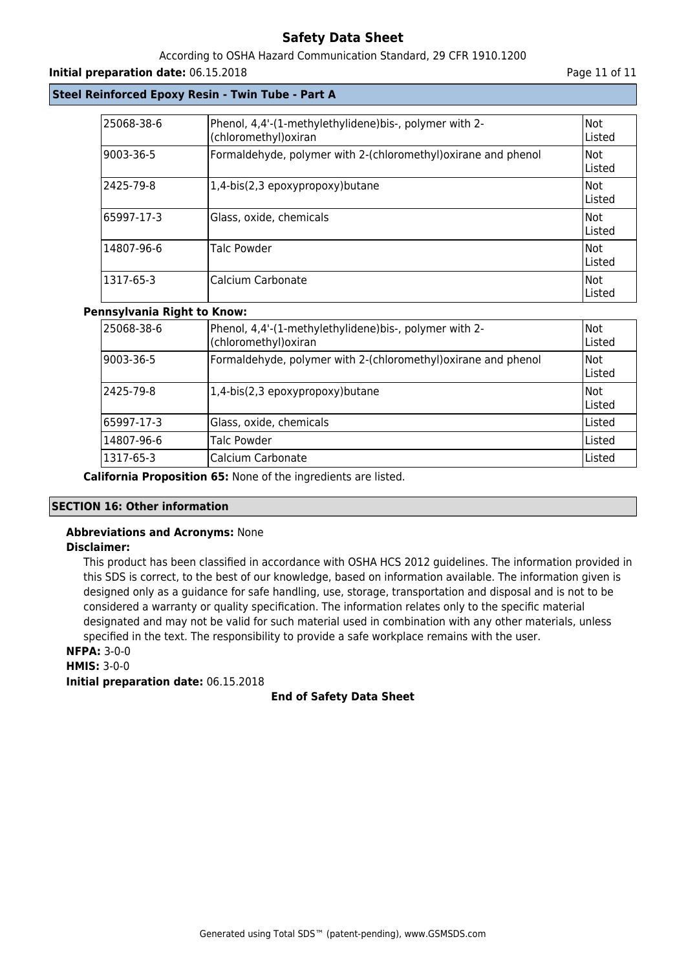### According to OSHA Hazard Communication Standard, 29 CFR 1910.1200

### **Initial preparation date:** 06.15.2018 **Page 11 of 11 Page 11 of 11 Page 11 of 11**

### **Steel Reinforced Epoxy Resin - Twin Tube - Part A**

| 25068-38-6 | Phenol, 4,4'-(1-methylethylidene)bis-, polymer with 2-<br>(chloromethyl) oxiran | Not<br>Listed          |
|------------|---------------------------------------------------------------------------------|------------------------|
| 9003-36-5  | Formaldehyde, polymer with 2-(chloromethyl) oxirane and phenol                  | Not<br>Listed          |
| 2425-79-8  | 1,4-bis(2,3 epoxypropoxy)butane                                                 | lNot<br><b>IListed</b> |
| 65997-17-3 | Glass, oxide, chemicals                                                         | lNot<br>Listed         |
| 14807-96-6 | Talc Powder                                                                     | Not<br>Listed          |
| 1317-65-3  | Calcium Carbonate                                                               | Not<br>lListed         |

### **Pennsylvania Right to Know:**

| l25068-38-6 | Phenol, 4,4'-(1-methylethylidene)bis-, polymer with 2-<br>(chloromethyl) oxiran | <b>INot</b><br>Listed |
|-------------|---------------------------------------------------------------------------------|-----------------------|
| 9003-36-5   | Formaldehyde, polymer with 2-(chloromethyl)oxirane and phenol                   | Not<br>Listed         |
| 2425-79-8   | 1,4-bis(2,3 epoxypropoxy) butane                                                | <b>INot</b><br>Listed |
| 65997-17-3  | Glass, oxide, chemicals                                                         | lListed               |
| 14807-96-6  | Talc Powder                                                                     | Listed                |
| 1317-65-3   | Calcium Carbonate                                                               | Listed                |

**California Proposition 65:** None of the ingredients are listed.

### **SECTION 16: Other information**

#### **Abbreviations and Acronyms:** None **Disclaimer:**

This product has been classified in accordance with OSHA HCS 2012 guidelines. The information provided in this SDS is correct, to the best of our knowledge, based on information available. The information given is designed only as a guidance for safe handling, use, storage, transportation and disposal and is not to be considered a warranty or quality specification. The information relates only to the specific material designated and may not be valid for such material used in combination with any other materials, unless specified in the text. The responsibility to provide a safe workplace remains with the user. **NFPA:** 3-0-0

# **HMIS:** 3-0-0

**Initial preparation date:** 06.15.2018

### **End of Safety Data Sheet**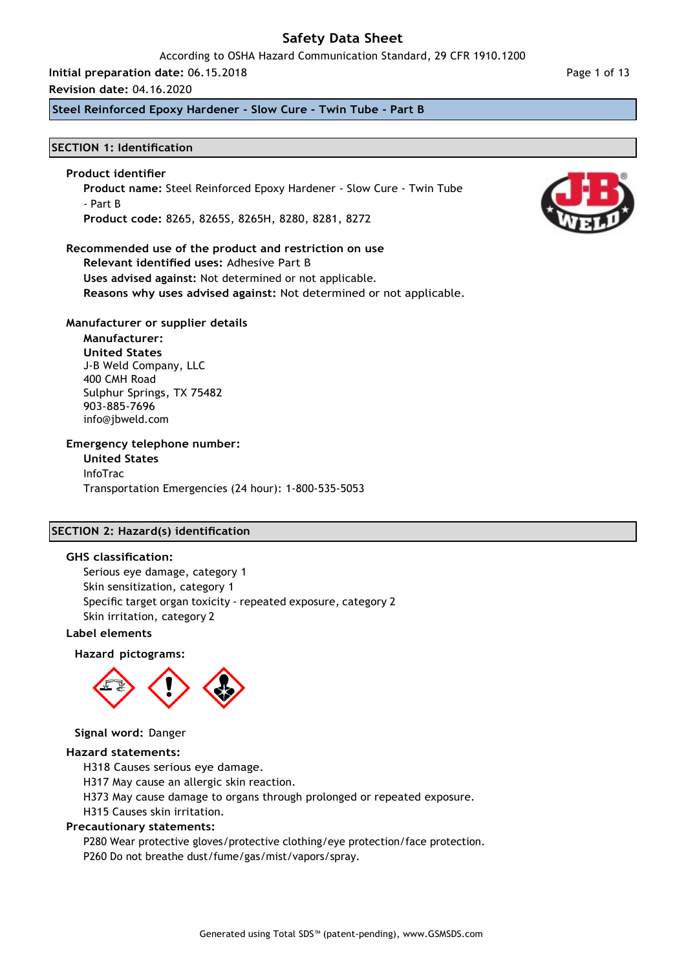#### According to OSHA Hazard Communication Standard, 29 CFR 1910.1200

### **Initial preparation date:** 06.15.2018

#### **Revision date:** 04.16.2020

**Steel Reinforced Epoxy Hardener - Slow Cure - Twin Tube - Part B**

#### **SECTION 1: Identification**

### **Product identifier**

**Product name:** Steel Reinforced Epoxy Hardener - Slow Cure - Twin Tube - Part B **Product code:** 8265, 8265S, 8265H, 8280, 8281, 8272

#### **Recommended use of the product and restriction on use Relevant identified uses:** Adhesive Part B

**Uses advised against:** Not determined or not applicable.

**Reasons why uses advised against:** Not determined or not applicable.

### **Manufacturer or supplier details**

**Manufacturer: United States** J-B Weld Company, LLC 400 CMH Road Sulphur Springs, TX 75482 903-885-7696 [info@jbweld.com](mailto:info@jbweld.com)

### **Emergency telephone number:**

**United States** InfoTrac Transportation Emergencies (24 hour): 1-800-535-5053

### **SECTION 2: Hazard(s) identification**

#### **GHS classification:**

Serious eye damage, category 1 Skin sensitization, category 1 Specific target organ toxicity - repeated exposure, category 2 Skin irritation, category 2

#### **Label elements**

#### **Hazard pictograms:**



#### **Signal word:** Danger

#### **Hazard statements:**

H318 Causes serious eye damage.

H317 May cause an allergic skin reaction.

H373 May cause damage to organs through prolonged or repeated exposure.

H315 Causes skin irritation.

#### **Precautionary statements:**

P280 Wear protective gloves/protective clothing/eye protection/face protection. P260 Do not breathe dust/fume/gas/mist/vapors/spray.

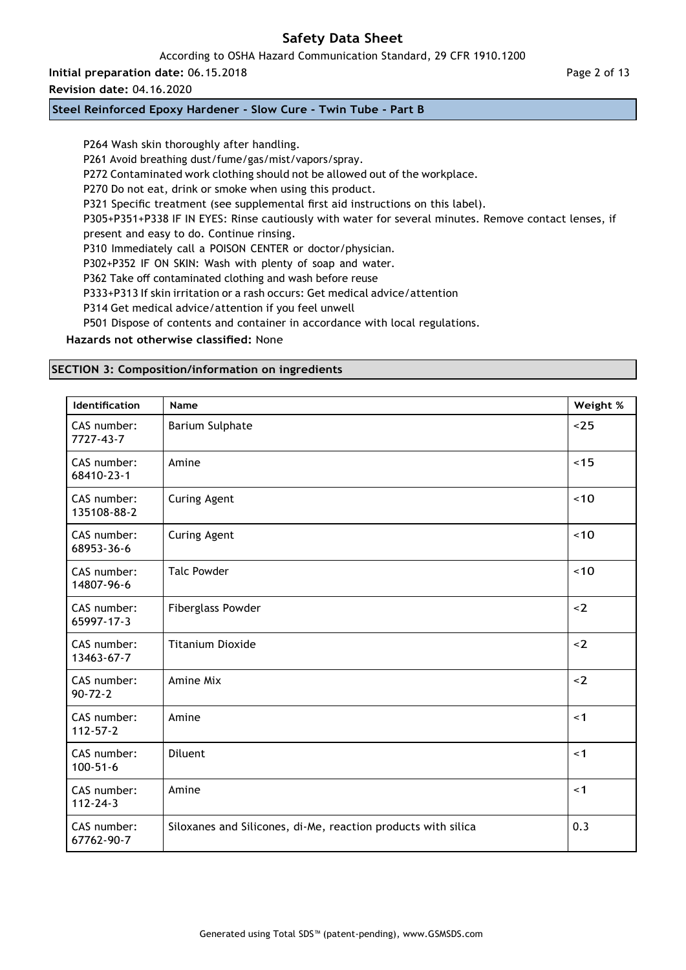According to OSHA Hazard Communication Standard, 29 CFR 1910.1200

**Initial preparation date:** 06.15.2018

# **Revision date:** 04.16.2020

### **Steel Reinforced Epoxy Hardener - Slow Cure - Twin Tube - Part B**

P264 Wash skin thoroughly after handling. P261 Avoid breathing dust/fume/gas/mist/vapors/spray. P272 Contaminated work clothing should not be allowed out of the workplace. P270 Do not eat, drink or smoke when using this product. P321 Specific treatment (see supplemental first aid instructions on this label). P305+P351+P338 IF IN EYES: Rinse cautiously with water for several minutes. Remove contact lenses, if present and easy to do. Continue rinsing. P310 Immediately call a POISON CENTER or doctor/physician. P302+P352 IF ON SKIN: Wash with plenty of soap and water. P362 Take off contaminated clothing and wash before reuse P333+P313 If skin irritation or a rash occurs: Get medical advice/attention P314 Get medical advice/attention if you feel unwell P501 Dispose of contents and container in accordance with local regulations. **Hazards not otherwise classified:** None

# **SECTION 3: Composition/information on ingredients**

| Identification                | Name                                                          | Weight % |
|-------------------------------|---------------------------------------------------------------|----------|
| CAS number:<br>7727-43-7      | <b>Barium Sulphate</b>                                        | $25$     |
| CAS number:<br>68410-23-1     | Amine                                                         | ~15      |
| CAS number:<br>135108-88-2    | <b>Curing Agent</b>                                           | ~10      |
| CAS number:<br>68953-36-6     | <b>Curing Agent</b>                                           | ~10      |
| CAS number:<br>14807-96-6     | <b>Talc Powder</b>                                            | ~10      |
| CAS number:<br>65997-17-3     | <b>Fiberglass Powder</b>                                      | $2$      |
| CAS number:<br>13463-67-7     | <b>Titanium Dioxide</b>                                       | $\leq$ 2 |
| CAS number:<br>$90 - 72 - 2$  | Amine Mix                                                     | $2$      |
| CAS number:<br>$112 - 57 - 2$ | Amine                                                         | < 1      |
| CAS number:<br>$100 - 51 - 6$ | Diluent                                                       | < 1      |
| CAS number:<br>$112 - 24 - 3$ | Amine                                                         | < 1      |
| CAS number:<br>67762-90-7     | Siloxanes and Silicones, di-Me, reaction products with silica | 0.3      |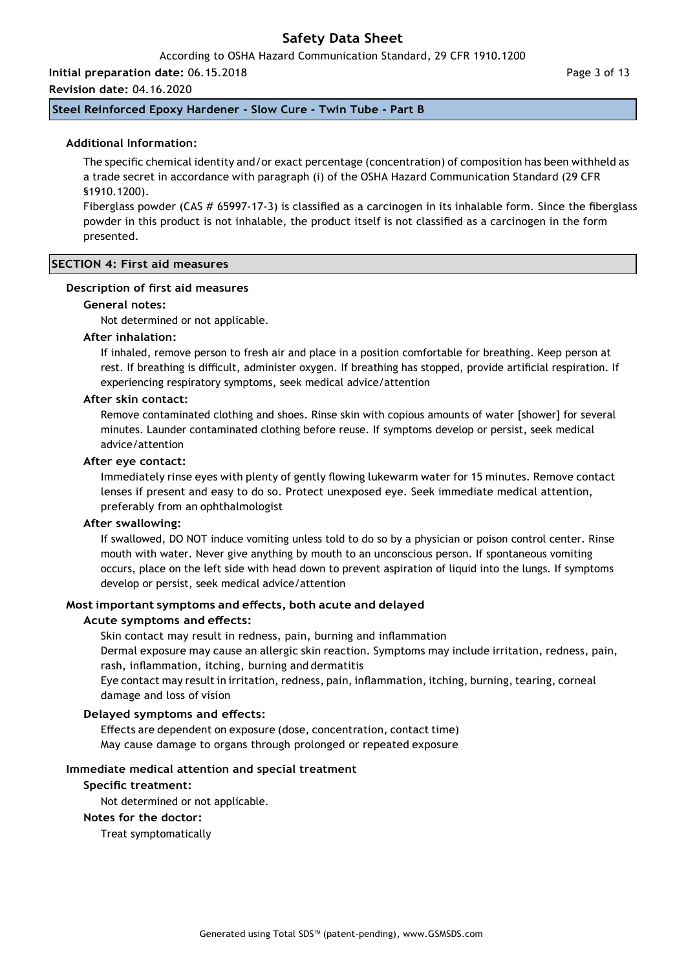According to OSHA Hazard Communication Standard, 29 CFR 1910.1200

**Initial preparation date:** 06.15.2018

**Revision date:** 04.16.2020

**Steel Reinforced Epoxy Hardener - Slow Cure - Twin Tube - Part B**

#### **Additional Information:**

The specific chemical identity and/or exact percentage (concentration) of composition has been withheld as a trade secret in accordance with paragraph (i) of the OSHA Hazard Communication Standard (29 CFR §1910.1200).

Fiberglass powder (CAS # 65997-17-3) is classified as a carcinogen in its inhalable form. Since the fiberglass powder in this product is not inhalable, the product itself is not classified as a carcinogen in the form presented.

#### **SECTION 4: First aid measures**

#### **Description of first aid measures**

#### **General notes:**

Not determined or not applicable.

#### **After inhalation:**

If inhaled, remove person to fresh air and place in a position comfortable for breathing. Keep person at rest. If breathing is difficult, administer oxygen. If breathing has stopped, provide artificial respiration. If experiencing respiratory symptoms, seek medical advice/attention

#### **After skin contact:**

Remove contaminated clothing and shoes. Rinse skin with copious amounts of water [shower] for several minutes. Launder contaminated clothing before reuse. If symptoms develop or persist, seek medical advice/attention

#### **After eye contact:**

Immediately rinse eyes with plenty of gently flowing lukewarm water for 15 minutes. Remove contact lenses if present and easy to do so. Protect unexposed eye. Seek immediate medical attention, preferably from an ophthalmologist

#### **After swallowing:**

If swallowed, DO NOT induce vomiting unless told to do so by a physician or poison control center. Rinse mouth with water. Never give anything by mouth to an unconscious person. If spontaneous vomiting occurs, place on the left side with head down to prevent aspiration of liquid into the lungs. If symptoms develop or persist, seek medical advice/attention

#### **Most important symptoms and effects, both acute and delayed**

#### **Acute symptoms and effects:**

Skin contact may result in redness, pain, burning and inflammation Dermal exposure may cause an allergic skin reaction. Symptoms may include irritation, redness, pain, rash, inflammation, itching, burning and dermatitis

Eye contact may result in irritation, redness, pain, inflammation, itching, burning, tearing, corneal damage and loss of vision

#### **Delayed symptoms and effects:**

Effects are dependent on exposure (dose, concentration, contact time) May cause damage to organs through prolonged or repeated exposure

#### **Immediate medical attention and special treatment**

#### **Specific treatment:**

Not determined or not applicable.

#### **Notes for the doctor:**

Treat symptomatically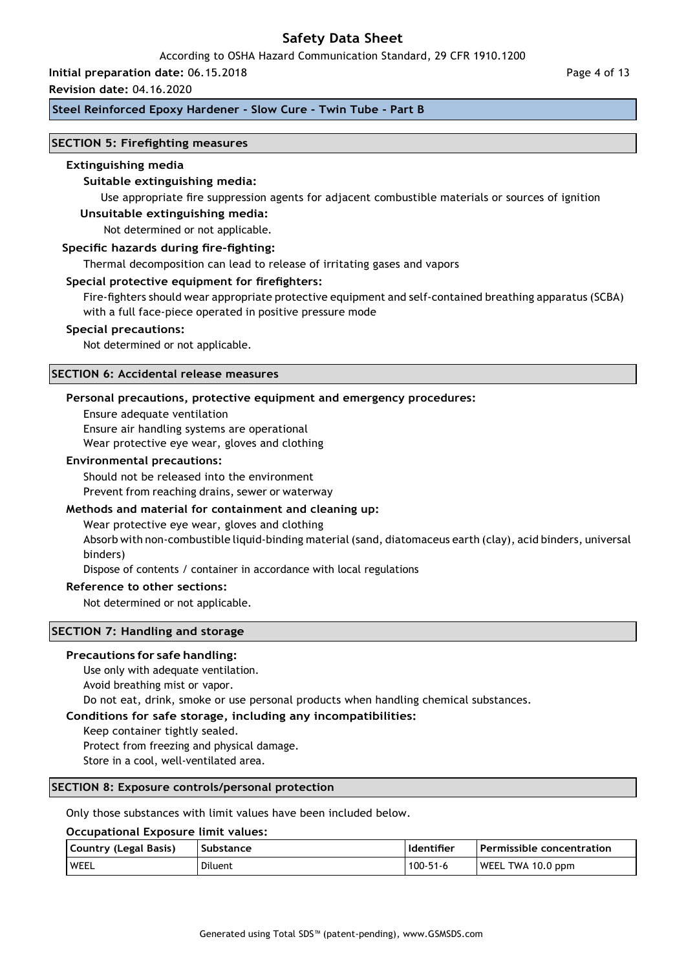#### According to OSHA Hazard Communication Standard, 29 CFR 1910.1200

# **Initial preparation date:** 06.15.2018

#### **Revision date:** 04.16.2020

### **Steel Reinforced Epoxy Hardener - Slow Cure - Twin Tube - Part B**

#### **SECTION 5: Firefighting measures**

#### **Extinguishing media**

### **Suitable extinguishing media:**

Use appropriate fire suppression agents for adjacent combustible materials or sources of ignition

# **Unsuitable extinguishing media:**

Not determined or not applicable.

#### **Specific hazards during fire-fighting:**

Thermal decomposition can lead to release of irritating gases and vapors

#### **Special protective equipment for firefighters:**

Fire-fighters should wear appropriate protective equipment and self-contained breathing apparatus (SCBA) with a full face-piece operated in positive pressure mode

#### **Special precautions:**

Not determined or not applicable.

#### **SECTION 6: Accidental release measures**

#### **Personal precautions, protective equipment and emergency procedures:**

Ensure adequate ventilation Ensure air handling systems are operational Wear protective eye wear, gloves and clothing

#### **Environmental precautions:**

Should not be released into the environment

Prevent from reaching drains, sewer or waterway

### **Methods and material for containment and cleaning up:**

Wear protective eye wear, gloves and clothing

Absorb with non-combustible liquid-binding material (sand, diatomaceus earth (clay), acid binders, universal binders)

Dispose of contents / container in accordance with local regulations

#### **Reference to other sections:**

Not determined or not applicable.

#### **SECTION 7: Handling and storage**

#### **Precautions for safe handling:**

Use only with adequate ventilation.

Avoid breathing mist or vapor.

Do not eat, drink, smoke or use personal products when handling chemical substances.

#### **Conditions for safe storage, including any incompatibilities:**

Keep container tightly sealed.

Protect from freezing and physical damage.

Store in a cool, well-ventilated area.

#### **SECTION 8: Exposure controls/personal protection**

Only those substances with limit values have been included below.

#### **Occupational Exposure limit values:**

| Country (Legal Basis) | Substance | Identifier     | Permissible concentration |
|-----------------------|-----------|----------------|---------------------------|
| WEEL                  | Diluent   | $100 - 51 - 6$ | WEEL TWA 10.0 ppm         |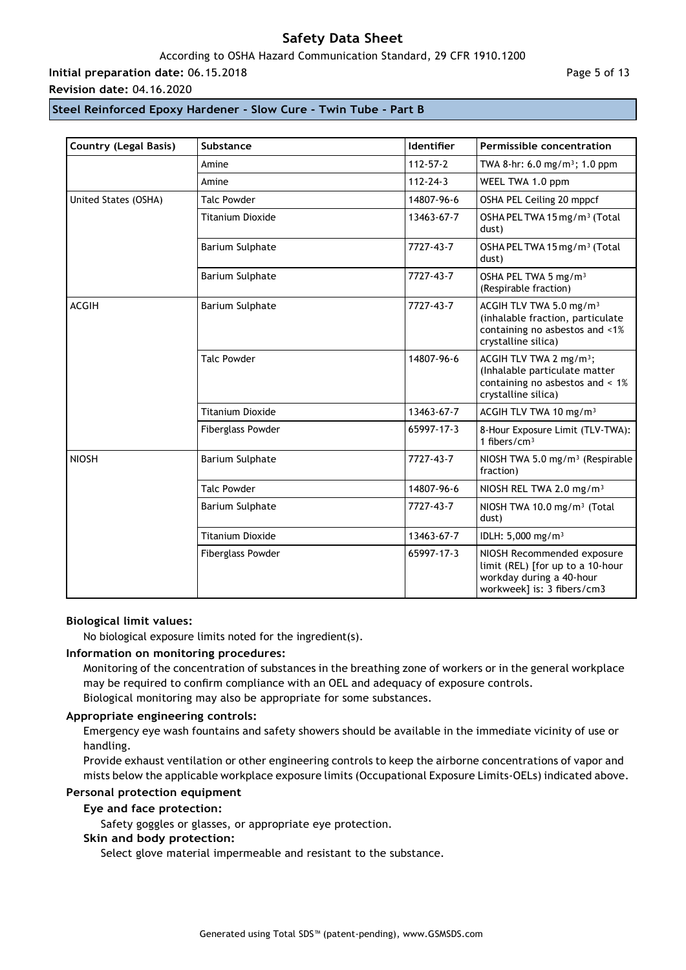### According to OSHA Hazard Communication Standard, 29 CFR 1910.1200

**Initial preparation date:** 06.15.2018

**Revision date:** 04.16.2020

Page 5 of 13

### **Steel Reinforced Epoxy Hardener - Slow Cure - Twin Tube - Part B**

| <b>Country (Legal Basis)</b> | Substance                | <b>Identifier</b> | Permissible concentration                                                                                                         |
|------------------------------|--------------------------|-------------------|-----------------------------------------------------------------------------------------------------------------------------------|
|                              | Amine                    | $112 - 57 - 2$    | TWA 8-hr: 6.0 mg/m <sup>3</sup> ; 1.0 ppm                                                                                         |
|                              | Amine                    | $112 - 24 - 3$    | WEEL TWA 1.0 ppm                                                                                                                  |
| United States (OSHA)         | <b>Talc Powder</b>       | 14807-96-6        | OSHA PEL Ceiling 20 mppcf                                                                                                         |
|                              | <b>Titanium Dioxide</b>  | 13463-67-7        | OSHA PEL TWA 15 mg/m <sup>3</sup> (Total<br>dust)                                                                                 |
|                              | Barium Sulphate          | 7727-43-7         | OSHA PEL TWA 15 mg/m <sup>3</sup> (Total<br>dust)                                                                                 |
|                              | <b>Barium Sulphate</b>   | 7727-43-7         | OSHA PEL TWA 5 mg/m <sup>3</sup><br>(Respirable fraction)                                                                         |
| <b>ACGIH</b>                 | Barium Sulphate          | 7727-43-7         | ACGIH TLV TWA 5.0 mg/m <sup>3</sup><br>(inhalable fraction, particulate<br>containing no asbestos and <1%<br>crystalline silica)  |
|                              | <b>Talc Powder</b>       | 14807-96-6        | ACGIH TLV TWA 2 mg/m <sup>3</sup> ;<br>(Inhalable particulate matter<br>containing no asbestos and $< 1\%$<br>crystalline silica) |
|                              | <b>Titanium Dioxide</b>  | 13463-67-7        | ACGIH TLV TWA 10 mg/m <sup>3</sup>                                                                                                |
|                              | <b>Fiberglass Powder</b> | 65997-17-3        | 8-Hour Exposure Limit (TLV-TWA):<br>1 fibers/ $cm3$                                                                               |
| <b>NIOSH</b>                 | Barium Sulphate          | 7727-43-7         | NIOSH TWA 5.0 mg/m <sup>3</sup> (Respirable<br>fraction)                                                                          |
|                              | <b>Talc Powder</b>       | 14807-96-6        | NIOSH REL TWA 2.0 mg/m <sup>3</sup>                                                                                               |
|                              | Barium Sulphate          | 7727-43-7         | NIOSH TWA 10.0 mg/m <sup>3</sup> (Total<br>dust)                                                                                  |
|                              | <b>Titanium Dioxide</b>  | 13463-67-7        | IDLH: 5,000 mg/m <sup>3</sup>                                                                                                     |
|                              | <b>Fiberglass Powder</b> | 65997-17-3        | NIOSH Recommended exposure<br>limit (REL) [for up to a 10-hour<br>workday during a 40-hour<br>workweek] is: 3 fibers/cm3          |

#### **Biological limit values:**

No biological exposure limits noted for the ingredient(s).

#### **Information on monitoring procedures:**

Monitoring of the concentration of substances in the breathing zone of workers or in the general workplace may be required to confirm compliance with an OEL and adequacy of exposure controls. Biological monitoring may also be appropriate for some substances.

### **Appropriate engineering controls:**

Emergency eye wash fountains and safety showers should be available in the immediate vicinity of use or handling.

Provide exhaust ventilation or other engineering controls to keep the airborne concentrations of vapor and mists below the applicable workplace exposure limits (Occupational Exposure Limits-OELs) indicated above.

#### **Personal protection equipment**

#### **Eye and face protection:**

Safety goggles or glasses, or appropriate eye protection.

### **Skin and body protection:**

Select glove material impermeable and resistant to the substance.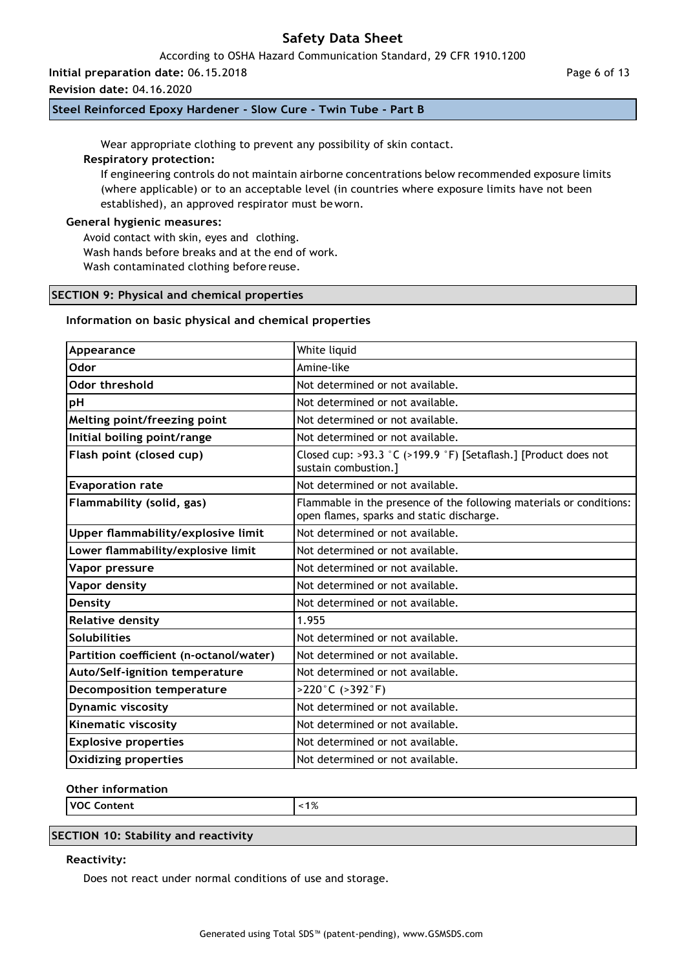According to OSHA Hazard Communication Standard, 29 CFR 1910.1200

**Initial preparation date:** 06.15.2018

**Revision date:** 04.16.2020

**Steel Reinforced Epoxy Hardener - Slow Cure - Twin Tube - Part B**

Wear appropriate clothing to prevent any possibility of skin contact.

### **Respiratory protection:**

If engineering controls do not maintain airborne concentrations below recommended exposure limits (where applicable) or to an acceptable level (in countries where exposure limits have not been established), an approved respirator must beworn.

### **General hygienic measures:**

Avoid contact with skin, eyes and clothing. Wash hands before breaks and at the end of work. Wash contaminated clothing before reuse.

### **SECTION 9: Physical and chemical properties**

#### **Information on basic physical and chemical properties**

| Appearance                              | White liquid                                                                                                     |
|-----------------------------------------|------------------------------------------------------------------------------------------------------------------|
| Odor                                    | Amine-like                                                                                                       |
| Odor threshold                          | Not determined or not available.                                                                                 |
| pH                                      | Not determined or not available.                                                                                 |
| Melting point/freezing point            | Not determined or not available.                                                                                 |
| Initial boiling point/range             | Not determined or not available.                                                                                 |
| Flash point (closed cup)                | Closed cup: >93.3 °C (>199.9 °F) [Setaflash.] [Product does not<br>sustain combustion.]                          |
| <b>Evaporation rate</b>                 | Not determined or not available.                                                                                 |
| Flammability (solid, gas)               | Flammable in the presence of the following materials or conditions:<br>open flames, sparks and static discharge. |
| Upper flammability/explosive limit      | Not determined or not available.                                                                                 |
| Lower flammability/explosive limit      | Not determined or not available.                                                                                 |
| Vapor pressure                          | Not determined or not available.                                                                                 |
| Vapor density                           | Not determined or not available.                                                                                 |
| Density                                 | Not determined or not available.                                                                                 |
| <b>Relative density</b>                 | 1.955                                                                                                            |
| <b>Solubilities</b>                     | Not determined or not available.                                                                                 |
| Partition coefficient (n-octanol/water) | Not determined or not available.                                                                                 |
| Auto/Self-ignition temperature          | Not determined or not available.                                                                                 |
| <b>Decomposition temperature</b>        | $>220^{\circ}$ C ( $>392^{\circ}$ F)                                                                             |
| <b>Dynamic viscosity</b>                | Not determined or not available.                                                                                 |
| Kinematic viscosity                     | Not determined or not available.                                                                                 |
| <b>Explosive properties</b>             | Not determined or not available.                                                                                 |
| <b>Oxidizing properties</b>             | Not determined or not available.                                                                                 |

### **Other information**

**VOC Content** <1%

### **SECTION 10: Stability and reactivity**

#### **Reactivity:**

Does not react under normal conditions of use and storage.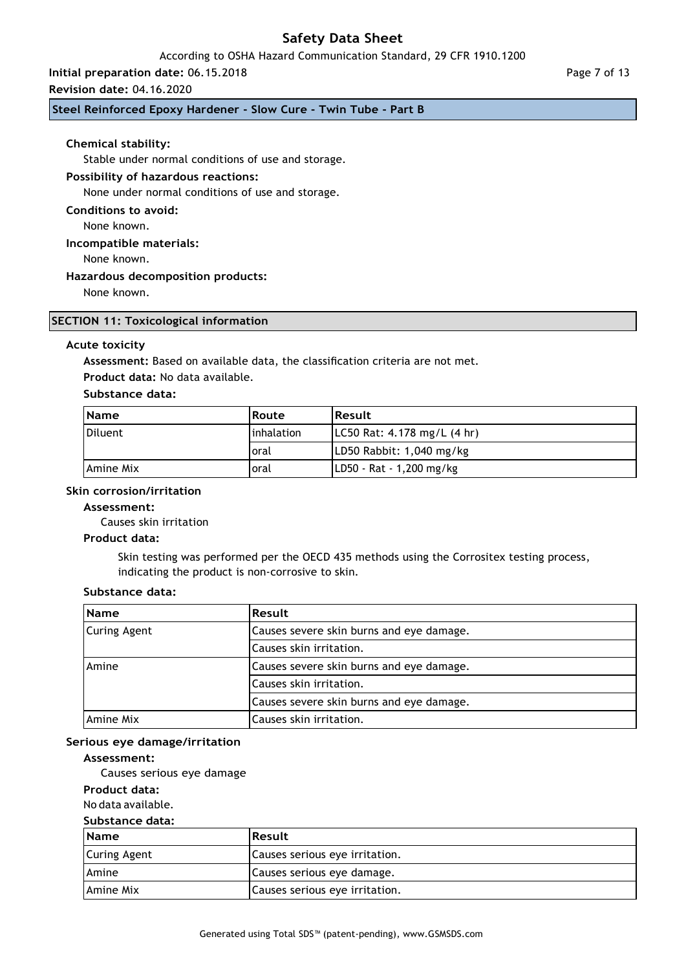### According to OSHA Hazard Communication Standard, 29 CFR 1910.1200

### **Initial preparation date:** 06.15.2018

#### **Revision date:** 04.16.2020

### **Steel Reinforced Epoxy Hardener - Slow Cure - Twin Tube - Part B**

#### **Chemical stability:**

Stable under normal conditions of use and storage.

#### **Possibility of hazardous reactions:**

None under normal conditions of use and storage.

**Conditions to avoid:**

None known.

#### **Incompatible materials:**

None known.

#### **Hazardous decomposition products:**

None known.

### **SECTION 11: Toxicological information**

#### **Acute toxicity**

**Assessment:** Based on available data, the classification criteria are not met.

**Product data:** No data available.

#### **Substance data:**

| <b>Name</b>       | Route       | <b>Result</b>                            |
|-------------------|-------------|------------------------------------------|
| Diluent           | Iinhalation | $ LC50$ Rat: 4.178 mg/L $(4 \text{ hr})$ |
|                   | Ioral       | LD50 Rabbit: 1,040 mg/kg                 |
| <b>LAmine Mix</b> | oral        | LD50 - Rat - 1,200 mg/kg                 |

#### **Skin corrosion/irritation**

#### **Assessment:**

Causes skin irritation

### **Product data:**

Skin testing was performed per the OECD 435 methods using the Corrositex testing process, indicating the product is non-corrosive to skin.

#### **Substance data:**

| <b>Name</b>         | Result                                   |
|---------------------|------------------------------------------|
| <b>Curing Agent</b> | Causes severe skin burns and eye damage. |
|                     | Causes skin irritation.                  |
| Amine               | Causes severe skin burns and eye damage. |
|                     | Causes skin irritation.                  |
|                     | Causes severe skin burns and eye damage. |
| Amine Mix           | Causes skin irritation.                  |

#### **Serious eye damage/irritation**

#### **Assessment:**

Causes serious eye damage

### **Product data:**

No data available.

#### **Substance data:**

| <b>Name</b>         | <b>Result</b>                  |
|---------------------|--------------------------------|
| <b>Curing Agent</b> | Causes serious eve irritation. |
| <b>Amine</b>        | Causes serious eye damage.     |
| l Amine Mix         | Causes serious eye irritation. |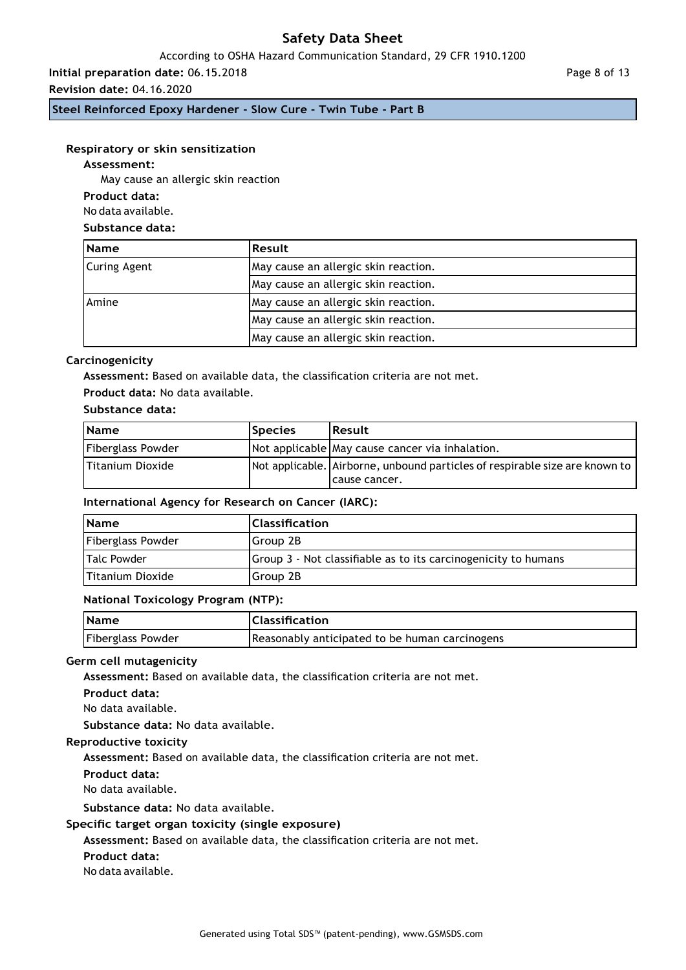### According to OSHA Hazard Communication Standard, 29 CFR 1910.1200

**Initial preparation date:** 06.15.2018

**Revision date:** 04.16.2020

**Steel Reinforced Epoxy Hardener - Slow Cure - Twin Tube - Part B**

### **Respiratory or skin sensitization**

### **Assessment:**

May cause an allergic skin reaction

**Product data:**

No data available.

### **Substance data:**

| <b>Name</b>  | <b>Result</b>                        |  |
|--------------|--------------------------------------|--|
| Curing Agent | May cause an allergic skin reaction. |  |
|              | May cause an allergic skin reaction. |  |
| Amine        | May cause an allergic skin reaction. |  |
|              | May cause an allergic skin reaction. |  |
|              | May cause an allergic skin reaction. |  |

### **Carcinogenicity**

**Assessment:** Based on available data, the classification criteria are not met.

### **Product data:** No data available.

### **Substance data:**

| <b>Name</b>       | <b>Species</b> | Result                                                                      |
|-------------------|----------------|-----------------------------------------------------------------------------|
| Fiberglass Powder |                | Not applicable May cause cancer via inhalation.                             |
| Titanium Dioxide  |                | Not applicable. Airborne, unbound particles of respirable size are known to |
|                   |                | Icause cancer.                                                              |

### **International Agency for Research on Cancer (IARC):**

| <b>Name</b>             | <b>Classification</b>                                          |
|-------------------------|----------------------------------------------------------------|
| Fiberglass Powder       | Group 2B                                                       |
| Talc Powder             | Group 3 - Not classifiable as to its carcinogenicity to humans |
| <b>Titanium Dioxide</b> | Group 2B                                                       |

### **National Toxicology Program (NTP):**

| <b>Name</b>       | Classification                                 |
|-------------------|------------------------------------------------|
| Fiberglass Powder | Reasonably anticipated to be human carcinogens |

### **Germ cell mutagenicity**

**Assessment:** Based on available data, the classification criteria are not met.

**Product data:**

No data available.

**Substance data:** No data available.

### **Reproductive toxicity**

**Assessment:** Based on available data, the classification criteria are not met.

**Product data:**

No data available.

**Substance data:** No data available.

### **Specific target organ toxicity (single exposure)**

**Assessment:** Based on available data, the classification criteria are not met.

**Product data:**

No data available.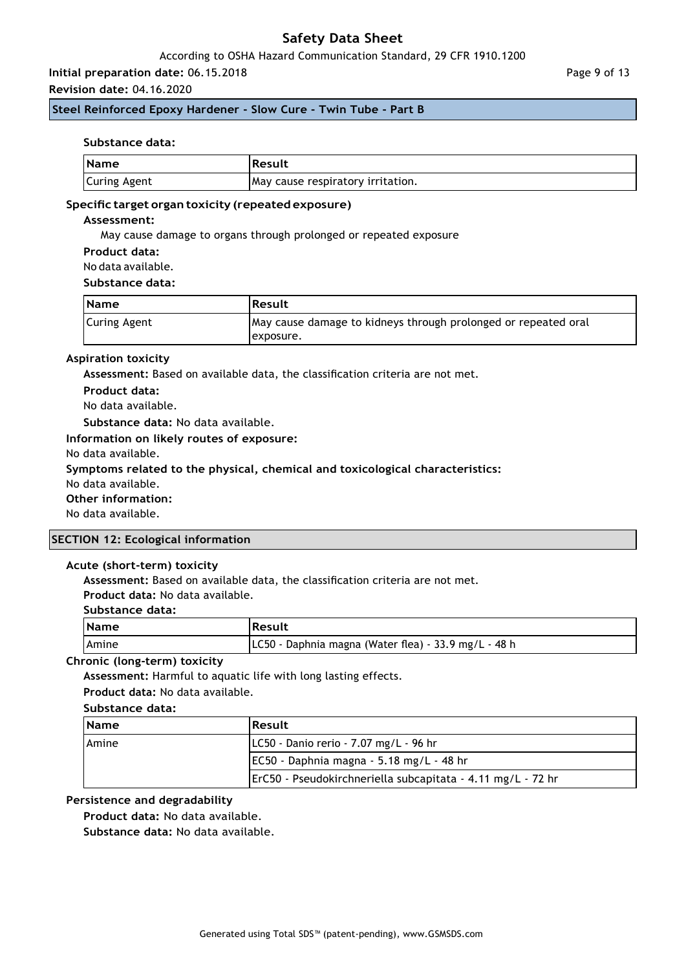### According to OSHA Hazard Communication Standard, 29 CFR 1910.1200

# **Initial preparation date:** 06.15.2018

### **Revision date:** 04.16.2020

### **Steel Reinforced Epoxy Hardener - Slow Cure - Twin Tube - Part B**

#### **Substance data:**

| <b>Name</b>         | <b>Result</b>                     |
|---------------------|-----------------------------------|
| <b>Curing Agent</b> | May cause respiratory irritation. |

#### **Specific target organ toxicity (repeated exposure)**

#### **Assessment:**

May cause damage to organs through prolonged or repeated exposure

**Product data:**

No data available.

#### **Substance data:**

| <b>Name</b>  | <b>Result</b>                                                  |
|--------------|----------------------------------------------------------------|
| Curing Agent | May cause damage to kidneys through prolonged or repeated oral |
|              | lexposure.                                                     |

#### **Aspiration toxicity**

**Assessment:** Based on available data, the classification criteria are not met.

**Product data:**

No data available.

**Substance data:** No data available.

### **Information on likely routes of exposure:**

No data available.

#### **Symptoms related to the physical, chemical and toxicological characteristics:**

No data available.

#### **Other information:**

No data available.

#### **SECTION 12: Ecological information**

#### **Acute (short-term) toxicity**

**Assessment:** Based on available data, the classification criteria are not met.

**Product data:** No data available.

#### **Substance data:**

| <b>Name</b> | Result                                               |
|-------------|------------------------------------------------------|
| Amine       | LC50 - Daphnia magna (Water flea) - 33.9 mg/L - 48 h |

### **Chronic (long-term) toxicity**

**Assessment:** Harmful to aquatic life with long lasting effects.

**Product data:** No data available.

#### **Substance data:**

| <b>Name</b>  | <b>Result</b>                                               |
|--------------|-------------------------------------------------------------|
| <b>Amine</b> | LC50 - Danio rerio - 7.07 mg/L - 96 hr                      |
|              | EC50 - Daphnia magna - 5.18 mg/L - 48 hr                    |
|              | ErC50 - Pseudokirchneriella subcapitata - 4.11 mg/L - 72 hr |

#### **Persistence and degradability**

**Product data:** No data available.

**Substance data:** No data available.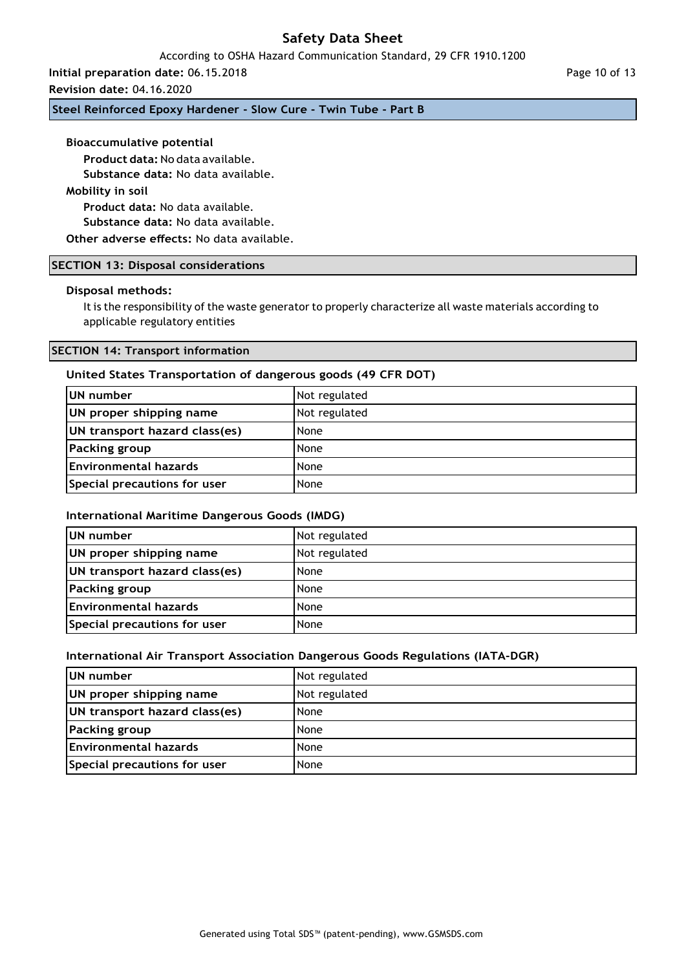According to OSHA Hazard Communication Standard, 29 CFR 1910.1200

**Initial preparation date:** 06.15.2018

**Revision date:** 04.16.2020

**Steel Reinforced Epoxy Hardener - Slow Cure - Twin Tube - Part B**

### **Bioaccumulative potential**

**Product data:** No data available.

**Substance data:** No data available.

### **Mobility in soil**

**Product data:** No data available.

**Substance data:** No data available.

**Other adverse effects:** No data available.

### **SECTION 13: Disposal considerations**

### **Disposal methods:**

It is the responsibility of the waste generator to properly characterize all waste materials according to applicable regulatory entities

### **SECTION 14: Transport information**

### **United States Transportation of dangerous goods (49 CFR DOT)**

| UN number                     | Not regulated |
|-------------------------------|---------------|
| UN proper shipping name       | Not regulated |
| UN transport hazard class(es) | None          |
| Packing group                 | None          |
| Environmental hazards         | None          |
| Special precautions for user  | None          |

#### **International Maritime Dangerous Goods (IMDG)**

| <b>IUN number</b>             | Not regulated |
|-------------------------------|---------------|
| UN proper shipping name       | Not regulated |
| UN transport hazard class(es) | None          |
| <b>Packing group</b>          | None          |
| Environmental hazards         | None          |
| Special precautions for user  | None          |

#### **International Air Transport Association Dangerous Goods Regulations (IATA-DGR)**

| UN number                     | Not regulated |
|-------------------------------|---------------|
| UN proper shipping name       | Not regulated |
| UN transport hazard class(es) | None          |
| Packing group                 | None          |
| Environmental hazards         | None          |
| Special precautions for user  | None          |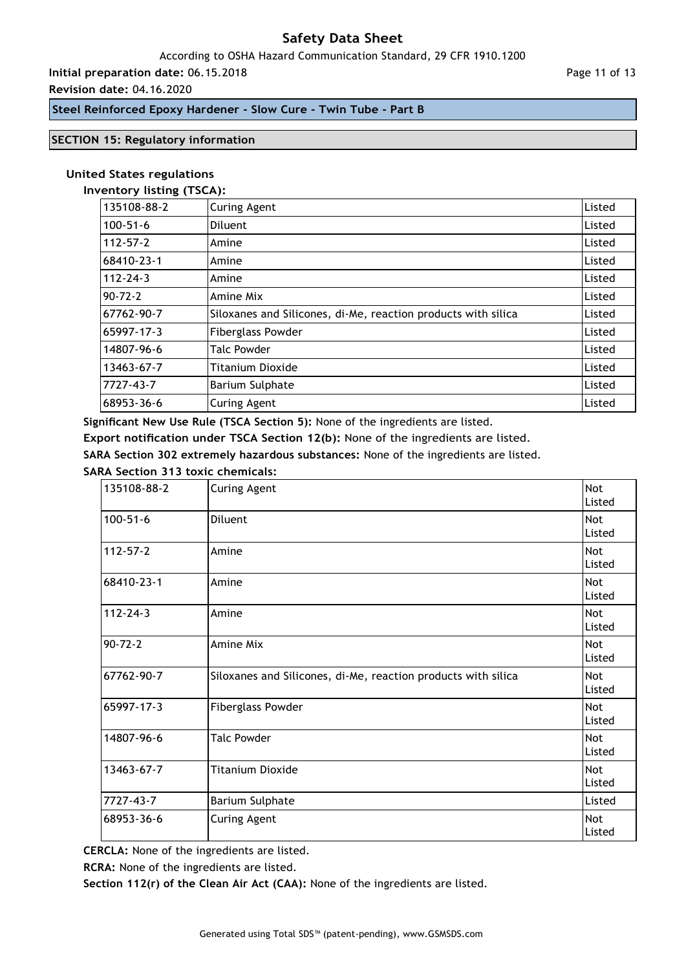### According to OSHA Hazard Communication Standard, 29 CFR 1910.1200

**Initial preparation date:** 06.15.2018

### **Revision date:** 04.16.2020

Page 11 of 13

### **Steel Reinforced Epoxy Hardener - Slow Cure - Twin Tube - Part B**

### **SECTION 15: Regulatory information**

#### **United States regulations**

#### **Inventory listing (TSCA):**

| 135108-88-2   | <b>Curing Agent</b>                                           | Listed |
|---------------|---------------------------------------------------------------|--------|
| 100-51-6      | Diluent                                                       | Listed |
| 112-57-2      | Amine                                                         | Listed |
| 68410-23-1    | Amine                                                         | Listed |
| 112-24-3      | Amine                                                         | Listed |
| $90 - 72 - 2$ | Amine Mix                                                     | Listed |
| 67762-90-7    | Siloxanes and Silicones, di-Me, reaction products with silica | Listed |
| 65997-17-3    | <b>Fiberglass Powder</b>                                      | Listed |
| 14807-96-6    | <b>Talc Powder</b>                                            | Listed |
| 13463-67-7    | Titanium Dioxide                                              | Listed |
| 7727-43-7     | <b>Barium Sulphate</b>                                        | Listed |
| 68953-36-6    | <b>Curing Agent</b>                                           | Listed |

**Significant New Use Rule (TSCA Section 5):** None of the ingredients are listed.

**Export notification under TSCA Section 12(b):** None of the ingredients are listed.

**SARA Section 302 extremely hazardous substances:** None of the ingredients are listed.

### **SARA Section 313 toxic chemicals:**

| 135108-88-2    | Curing Agent                                                  | <b>Not</b><br>Listed |
|----------------|---------------------------------------------------------------|----------------------|
| $100 - 51 - 6$ | Diluent                                                       | <b>Not</b><br>Listed |
| $112 - 57 - 2$ | Amine                                                         | Not<br>Listed        |
| 68410-23-1     | Amine                                                         | <b>Not</b><br>Listed |
| $112 - 24 - 3$ | Amine                                                         | <b>Not</b><br>Listed |
| $90 - 72 - 2$  | Amine Mix                                                     | <b>Not</b><br>Listed |
| 67762-90-7     | Siloxanes and Silicones, di-Me, reaction products with silica | <b>Not</b><br>Listed |
| 65997-17-3     | <b>Fiberglass Powder</b>                                      | Not<br>Listed        |
| 14807-96-6     | <b>Talc Powder</b>                                            | <b>Not</b><br>Listed |
| 13463-67-7     | <b>Titanium Dioxide</b>                                       | Not<br>Listed        |
| 7727-43-7      | Barium Sulphate                                               | Listed               |
| 68953-36-6     | Curing Agent                                                  | <b>Not</b><br>Listed |

**CERCLA:** None of the ingredients are listed.

**RCRA:** None of the ingredients are listed.

**Section 112(r) of the Clean Air Act (CAA):** None of the ingredients are listed.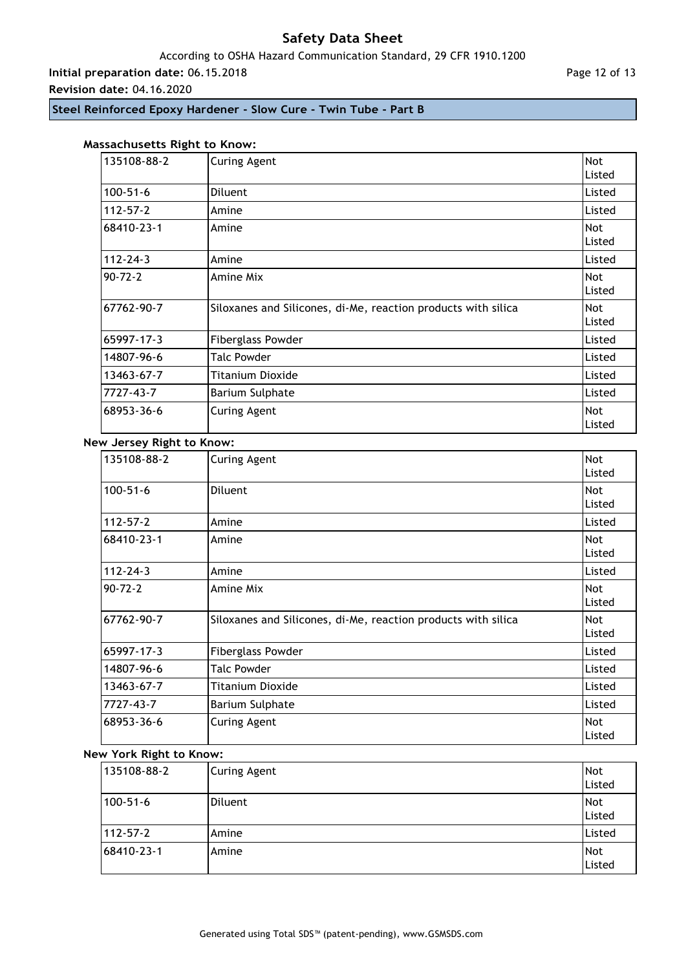### According to OSHA Hazard Communication Standard, 29 CFR 1910.1200

**Initial preparation date:** 06.15.2018

**Revision date:** 04.16.2020

Page 12 of 13

**Steel Reinforced Epoxy Hardener - Slow Cure - Twin Tube - Part B**

### **Massachusetts Right to Know:**

| 135108-88-2    | <b>Curing Agent</b>                                           | Not<br>Listed        |
|----------------|---------------------------------------------------------------|----------------------|
| $100 - 51 - 6$ | Diluent                                                       | Listed               |
| $112 - 57 - 2$ | Amine                                                         | Listed               |
| 68410-23-1     | Amine                                                         | <b>Not</b><br>Listed |
| $112 - 24 - 3$ | Amine                                                         | Listed               |
| $90 - 72 - 2$  | Amine Mix                                                     | <b>Not</b><br>Listed |
| 67762-90-7     | Siloxanes and Silicones, di-Me, reaction products with silica | <b>Not</b><br>Listed |
| 65997-17-3     | <b>Fiberglass Powder</b>                                      | Listed               |
| 14807-96-6     | <b>Talc Powder</b>                                            | Listed               |
| 13463-67-7     | <b>Titanium Dioxide</b>                                       | Listed               |
| 7727-43-7      | <b>Barium Sulphate</b>                                        | Listed               |
| 68953-36-6     | <b>Curing Agent</b>                                           | <b>Not</b><br>Listed |

### **New Jersey Right to Know:**

| 135108-88-2    | <b>Curing Agent</b>                                           | Not<br>Listed        |
|----------------|---------------------------------------------------------------|----------------------|
| $100 - 51 - 6$ | Diluent                                                       | <b>Not</b><br>Listed |
| $112 - 57 - 2$ | Amine                                                         | Listed               |
| 68410-23-1     | Amine                                                         | <b>Not</b><br>Listed |
| $112 - 24 - 3$ | Amine                                                         | Listed               |
| $90 - 72 - 2$  | Amine Mix                                                     | <b>Not</b><br>Listed |
| 67762-90-7     | Siloxanes and Silicones, di-Me, reaction products with silica | <b>Not</b><br>Listed |
| 65997-17-3     | <b>Fiberglass Powder</b>                                      | Listed               |
| 14807-96-6     | <b>Talc Powder</b>                                            | Listed               |
| 13463-67-7     | Titanium Dioxide                                              | Listed               |
| 7727-43-7      | Barium Sulphate                                               | Listed               |
| 68953-36-6     | <b>Curing Agent</b>                                           | Not<br>Listed        |

# **New York Right to Know:**

| 135108-88-2 | Curing Agent | Not<br>Listed        |
|-------------|--------------|----------------------|
| 100-51-6    | Diluent      | <b>Not</b><br>Listed |
| 112-57-2    | Amine        | Listed               |
| 68410-23-1  | Amine        | Not<br>Listed        |